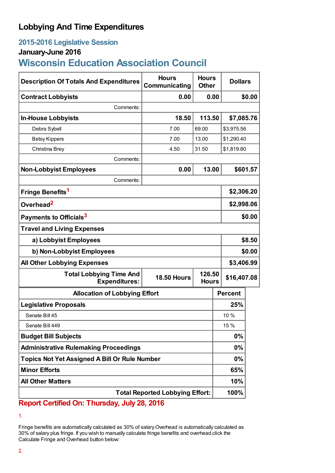# **Lobbying And Time Expenditures**

### **2015-2016 Legislative Session**

# **January-June 2016**

# **Wisconsin Education Association Council**

| <b>Description Of Totals And Expenditures</b>          | <b>Hours</b><br>Communicating | <b>Hours</b><br><b>Other</b> | <b>Dollars</b> |            |  |
|--------------------------------------------------------|-------------------------------|------------------------------|----------------|------------|--|
| <b>Contract Lobbyists</b>                              | 0.00                          | 0.00                         |                | \$0.00     |  |
| Comments:                                              |                               |                              |                |            |  |
| <b>In-House Lobbyists</b>                              | 18.50                         | 113.50                       | \$7,085.76     |            |  |
| Debra Sybell                                           | 7.00                          | 69.00                        | \$3,975.56     |            |  |
| <b>Betsy Kippers</b>                                   | 7.00                          | 13.00                        | \$1,290.40     |            |  |
| Christina Brey                                         | 4.50                          | 31.50                        | \$1,819.80     |            |  |
| Comments:                                              |                               |                              |                |            |  |
| <b>Non-Lobbyist Employees</b>                          | 0.00                          | 13.00                        |                | \$601.57   |  |
| Comments:                                              |                               |                              |                |            |  |
| Fringe Benefits <sup>1</sup>                           |                               |                              |                | \$2,306.20 |  |
| Overhead <sup>2</sup>                                  |                               |                              |                | \$2,998.06 |  |
| Payments to Officials <sup>3</sup>                     |                               |                              |                | \$0.00     |  |
| <b>Travel and Living Expenses</b>                      |                               |                              |                |            |  |
| a) Lobbyist Employees                                  |                               |                              |                | \$8.50     |  |
| b) Non-Lobbyist Employees                              |                               |                              |                | \$0.00     |  |
| <b>All Other Lobbying Expenses</b>                     |                               |                              | \$3,406.99     |            |  |
| <b>Total Lobbying Time And</b><br><b>Expenditures:</b> | <b>18.50 Hours</b>            | 126.50<br><b>Hours</b>       | \$16,407.08    |            |  |
| <b>Allocation of Lobbying Effort</b>                   |                               |                              | <b>Percent</b> |            |  |
| <b>Legislative Proposals</b>                           |                               |                              | 25%            |            |  |
| Senate Bill 45                                         |                               |                              | 10 %           |            |  |
| Senate Bill 449                                        |                               |                              | 15 %           |            |  |
| <b>Budget Bill Subjects</b>                            |                               |                              | $0\%$          |            |  |
| <b>Administrative Rulemaking Proceedings</b>           |                               |                              | $0\%$          |            |  |
| <b>Topics Not Yet Assigned A Bill Or Rule Number</b>   |                               |                              | $0\%$          |            |  |
| <b>Minor Efforts</b>                                   |                               |                              | 65%            |            |  |
| <b>All Other Matters</b>                               |                               |                              | 10%            |            |  |
| <b>Total Reported Lobbying Effort:</b>                 |                               |                              | 100%           |            |  |

**Report Certified On: Thursday, July 28, 2016**

<sup>1.</sup>

Fringe benefits are automatically calculated as 30% of salary.Overhead is automatically calculated as 30% of salary plus fringe. If you wish to manually calculate fringe benefits and overhead,click the Calculate Fringe and Overhead button below: